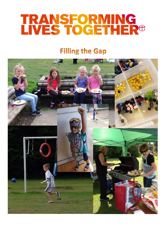# TRANSFORMING<br>LIVES TOGETHER<sup>®</sup>

# **Filling the Gap**

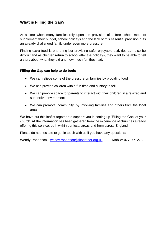# **What is Filling the Gap?**

At a time when many families rely upon the provision of a free school meal to supplement their budget, school holidays and the lack of this essential provision puts an already challenged family under even more pressure.

Finding extra food is one thing but providing safe, enjoyable activities can also be difficult and as children return to school after the holidays, they want to be able to tell a story about what they did and how much fun they had.

### **Filling the Gap can help to do both:**

- We can relieve some of the pressure on families by providing food
- We can provide children with a fun time and a 'story to tell'
- We can provide space for parents to interact with their children in a relaxed and supportive environment
- We can promote 'community' by involving families and others from the local area

We have put this leaflet together to support you in setting up 'Filling the Gap' at your church. All the information has been gathered from the experience of churches already offering this service, both within our local areas and from across England.

Please do not hesitate to get in touch with us if you have any questions:

Wendy Robertson [wendy.robertson@tltogether.org.uk](mailto:wendy.robertson@tltogether.org.uk) Mobile: 07787712783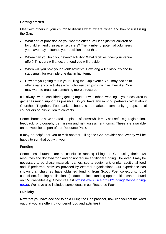# **Getting started**

Meet with others in your church to discuss what, where, when and how to run Filling the Gap:

- What sort of provision do you want to offer? Will it be just for children or for children and their parents/ carers? The number of potential volunteers you have may influence your decision about this.
- Where can you hold your event/ activity? What facilities does your venue offer? This can/ will affect the food you will provide.
- When will you hold your event/ activity? How long will it last? It's fine to start small, for example one day in half term.
- How are you going to run your Filling the Gap event? You may decide to offer a variety of activities which children can join in with as they like. You may want to organise something more structured.

It is always worth considering getting together with others working in your local area to gather as much support as possible. Do you have any existing partners? What about Churches Together, Foodbank, schools, supermarkets, community groups, local councillors or Public Health contacts.

Some churches have created templates of forms which may be useful e.g. registration, feedback, photography permission and risk assessment forms. These are available on our website as part of our Resource Pack.

It may be helpful for you to visit another Filling the Gap provider and Wendy will be happy to sort that out with you.

# **Funding**

Sometimes churches are successful in running Filling the Gap using their own resources and donated food and do not require additional funding. However, it may be necessary to purchase materials, games, sports equipment, drinks, additional food and, if preferred, activities provided by external organisations. Our experience has shown that churches have obtained funding from Scout Post collections, local councillors, funding applications (updates of local funding opportunities can be found on CVS websites e.g. Cheshire East [https://www.cvsce.org.uk/funding/latest-funding](https://www.cvsce.org.uk/funding/latest-funding-news)[news\)](https://www.cvsce.org.uk/funding/latest-funding-news). We have also included some ideas in our Resource Pack.

### **Publicity**

Now that you have decided to be a Filling the Gap provider, how can you get the word out that you are offering wonderful food and activities?!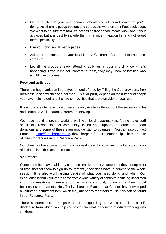- Get in touch with your local primary schools and let them know what you're doing. Ask them to put up posters and spread the word on their Facebook page. We want to be sure that families accessing free school meals know about your activities but it is best to include them in a wider invitation list and not target them specifically.
- Use your own social media pages
- Ask to put posters up in your local library, Children's Centre, other churches, cafes etc.
- Let all the groups already attending activities at your church know what's happening. Even if it's not relevant to them, they may know of families who would love to come

# **Food and activities**

There is a huge variation in the type of food offered by Filling the Gap providers, from breakfast, to sandwiches to a hot meal. This will partly depend on the number of people you have helping out and the kitchen facilities that are available for your use.

It is a good idea to have juice or water readily available throughout the session and tea and coffee as well if parents/ carers are staying.

We have found churches working well with local supermarkets (some have staff specifically responsible for community liaison and support) to source free food donations and some of these even provide staff to volunteer. You can also contact Fareshare [http://fareshare.org.uk/,](http://fareshare.org.uk/) they charge a fee for membership. There are lots of ideas for recipes in our Resource Pack.

Our churches have come up with some great ideas for activities for all ages, you can also find this in the Resource Pack.

### **Volunteers**

Some churches have said they can more easily recruit volunteers if they put up a list of time slots for them to sign up to, that way they don't have to commit to the whole session. It is also worth giving details of what you need doing and when. Our experience is that volunteers come from a wide variety of contexts including uniformed youth organisations, members of the local community, church members, local businesses and parents. Holy Trinity church in Blacon near Chester have developed a volunteer recruitment form which they are happy for others to use, this can be found in our Resource Pack.

There is information in the pack about safeguarding and we also include a selfdisclosure form which can help you to explain what is required of adults working with children.